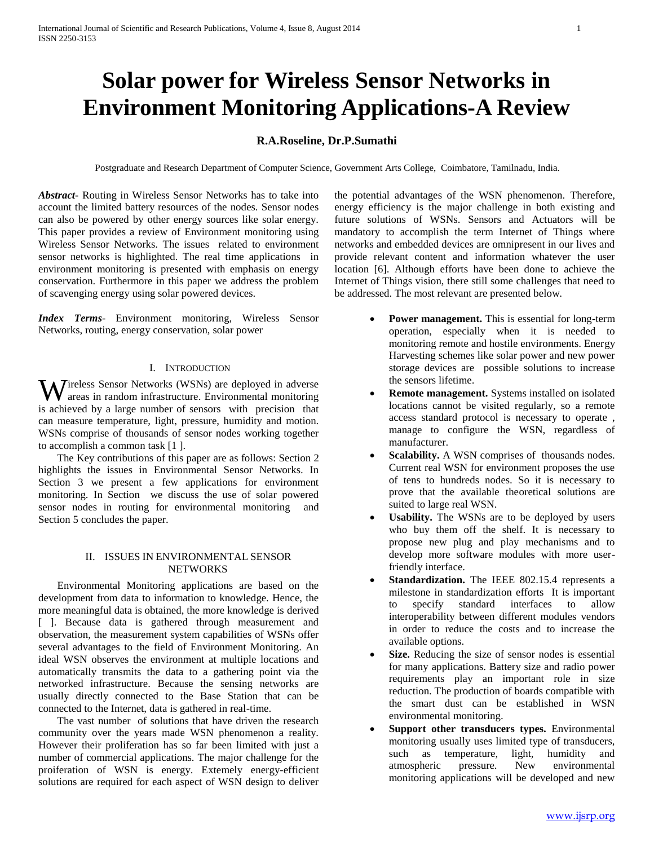# **Solar power for Wireless Sensor Networks in Environment Monitoring Applications-A Review**

# **R.A.Roseline, Dr.P.Sumathi**

Postgraduate and Research Department of Computer Science, Government Arts College, Coimbatore, Tamilnadu, India.

*Abstract***-** Routing in Wireless Sensor Networks has to take into account the limited battery resources of the nodes. Sensor nodes can also be powered by other energy sources like solar energy. This paper provides a review of Environment monitoring using Wireless Sensor Networks. The issues related to environment sensor networks is highlighted. The real time applications in environment monitoring is presented with emphasis on energy conservation. Furthermore in this paper we address the problem of scavenging energy using solar powered devices.

*Index Terms*- Environment monitoring, Wireless Sensor Networks, routing, energy conservation, solar power

# I. INTRODUCTION

ireless Sensor Networks (WSNs) are deployed in adverse **W**ireless Sensor Networks (WSNs) are deployed in adverse areas in random infrastructure. Environmental monitoring is achieved by a large number of sensors with precision that can measure temperature, light, pressure, humidity and motion. WSNs comprise of thousands of sensor nodes working together to accomplish a common task [1 ].

 The Key contributions of this paper are as follows: Section 2 highlights the issues in Environmental Sensor Networks. In Section 3 we present a few applications for environment monitoring. In Section we discuss the use of solar powered sensor nodes in routing for environmental monitoring and Section 5 concludes the paper.

# II. ISSUES IN ENVIRONMENTAL SENSOR **NETWORKS**

 Environmental Monitoring applications are based on the development from data to information to knowledge. Hence, the more meaningful data is obtained, the more knowledge is derived [ ]. Because data is gathered through measurement and observation, the measurement system capabilities of WSNs offer several advantages to the field of Environment Monitoring. An ideal WSN observes the environment at multiple locations and automatically transmits the data to a gathering point via the networked infrastructure. Because the sensing networks are usually directly connected to the Base Station that can be connected to the Internet, data is gathered in real-time.

 The vast number of solutions that have driven the research community over the years made WSN phenomenon a reality. However their proliferation has so far been limited with just a number of commercial applications. The major challenge for the proiferation of WSN is energy. Extemely energy-efficient solutions are required for each aspect of WSN design to deliver

the potential advantages of the WSN phenomenon. Therefore, energy efficiency is the major challenge in both existing and future solutions of WSNs. Sensors and Actuators will be mandatory to accomplish the term Internet of Things where networks and embedded devices are omnipresent in our lives and provide relevant content and information whatever the user location [6]. Although efforts have been done to achieve the Internet of Things vision, there still some challenges that need to be addressed. The most relevant are presented below.

- **Power management.** This is essential for long-term operation, especially when it is needed to monitoring remote and hostile environments. Energy Harvesting schemes like solar power and new power storage devices are possible solutions to increase the sensors lifetime.
- **Remote management.** Systems installed on isolated locations cannot be visited regularly, so a remote access standard protocol is necessary to operate , manage to configure the WSN, regardless of manufacturer.
- **Scalability.** A WSN comprises of thousands nodes. Current real WSN for environment proposes the use of tens to hundreds nodes. So it is necessary to prove that the available theoretical solutions are suited to large real WSN.
- **Usability.** The WSNs are to be deployed by users who buy them off the shelf. It is necessary to propose new plug and play mechanisms and to develop more software modules with more userfriendly interface.
- **Standardization.** The IEEE 802.15.4 represents a milestone in standardization efforts It is important to specify standard interfaces to allow interoperability between different modules vendors in order to reduce the costs and to increase the available options.
- **Size.** Reducing the size of sensor nodes is essential for many applications. Battery size and radio power requirements play an important role in size reduction. The production of boards compatible with the smart dust can be established in WSN environmental monitoring.
- **Support other transducers types.** Environmental monitoring usually uses limited type of transducers, such as temperature, light, humidity and atmospheric pressure. New environmental monitoring applications will be developed and new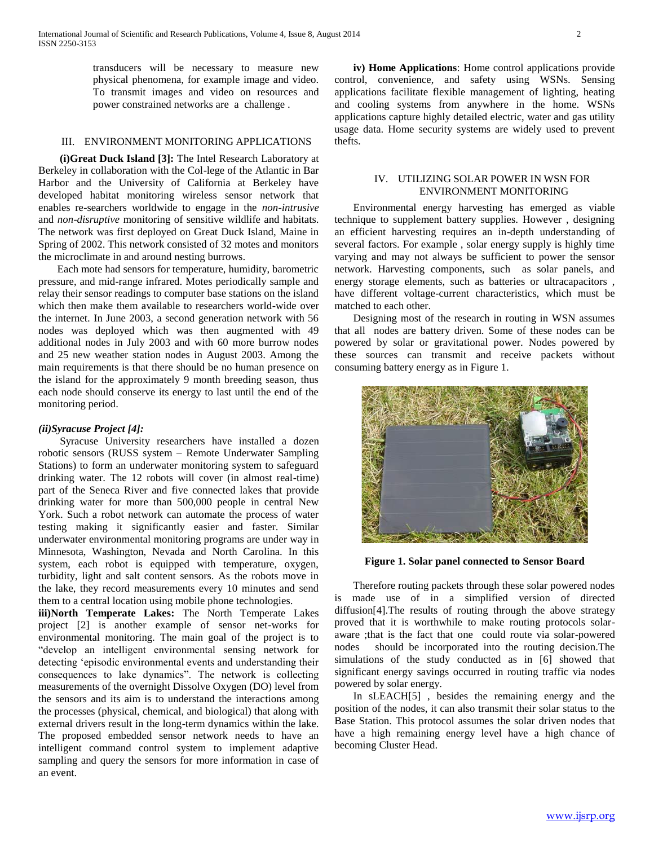transducers will be necessary to measure new physical phenomena, for example image and video. To transmit images and video on resources and power constrained networks are a challenge .

# III. ENVIRONMENT MONITORING APPLICATIONS

 **(i)Great Duck Island [3]:** The Intel Research Laboratory at Berkeley in collaboration with the Col-lege of the Atlantic in Bar Harbor and the University of California at Berkeley have developed habitat monitoring wireless sensor network that enables re-searchers worldwide to engage in the *non-intrusive* and *non-disruptive* monitoring of sensitive wildlife and habitats. The network was first deployed on Great Duck Island, Maine in Spring of 2002. This network consisted of 32 motes and monitors the microclimate in and around nesting burrows.

 Each mote had sensors for temperature, humidity, barometric pressure, and mid-range infrared. Motes periodically sample and relay their sensor readings to computer base stations on the island which then make them available to researchers world-wide over the internet. In June 2003, a second generation network with 56 nodes was deployed which was then augmented with 49 additional nodes in July 2003 and with 60 more burrow nodes and 25 new weather station nodes in August 2003. Among the main requirements is that there should be no human presence on the island for the approximately 9 month breeding season, thus each node should conserve its energy to last until the end of the monitoring period.

#### *(ii)Syracuse Project [4]:*

 Syracuse University researchers have installed a dozen robotic sensors (RUSS system – Remote Underwater Sampling Stations) to form an underwater monitoring system to safeguard drinking water. The 12 robots will cover (in almost real-time) part of the Seneca River and five connected lakes that provide drinking water for more than 500,000 people in central New York. Such a robot network can automate the process of water testing making it significantly easier and faster. Similar underwater environmental monitoring programs are under way in Minnesota, Washington, Nevada and North Carolina. In this system, each robot is equipped with temperature, oxygen, turbidity, light and salt content sensors. As the robots move in the lake, they record measurements every 10 minutes and send them to a central location using mobile phone technologies.

**iii)North Temperate Lakes:** The North Temperate Lakes project [2] is another example of sensor net-works for environmental monitoring. The main goal of the project is to "develop an intelligent environmental sensing network for detecting 'episodic environmental events and understanding their consequences to lake dynamics". The network is collecting measurements of the overnight Dissolve Oxygen (DO) level from the sensors and its aim is to understand the interactions among the processes (physical, chemical, and biological) that along with external drivers result in the long-term dynamics within the lake. The proposed embedded sensor network needs to have an intelligent command control system to implement adaptive sampling and query the sensors for more information in case of an event.

 **iv) Home Applications**: Home control applications provide control, convenience, and safety using WSNs. Sensing applications facilitate flexible management of lighting, heating and cooling systems from anywhere in the home. WSNs applications capture highly detailed electric, water and gas utility usage data. Home security systems are widely used to prevent thefts.

## IV. UTILIZING SOLAR POWER IN WSN FOR ENVIRONMENT MONITORING

 Environmental energy harvesting has emerged as viable technique to supplement battery supplies. However , designing an efficient harvesting requires an in-depth understanding of several factors. For example , solar energy supply is highly time varying and may not always be sufficient to power the sensor network. Harvesting components, such as solar panels, and energy storage elements, such as batteries or ultracapacitors , have different voltage-current characteristics, which must be matched to each other.

 Designing most of the research in routing in WSN assumes that all nodes are battery driven. Some of these nodes can be powered by solar or gravitational power. Nodes powered by these sources can transmit and receive packets without consuming battery energy as in Figure 1.



**Figure 1. Solar panel connected to Sensor Board**

 Therefore routing packets through these solar powered nodes is made use of in a simplified version of directed diffusion[4].The results of routing through the above strategy proved that it is worthwhile to make routing protocols solaraware ;that is the fact that one could route via solar-powered nodes should be incorporated into the routing decision.The simulations of the study conducted as in [6] showed that significant energy savings occurred in routing traffic via nodes powered by solar energy.

 In sLEACH[5] , besides the remaining energy and the position of the nodes, it can also transmit their solar status to the Base Station. This protocol assumes the solar driven nodes that have a high remaining energy level have a high chance of becoming Cluster Head.